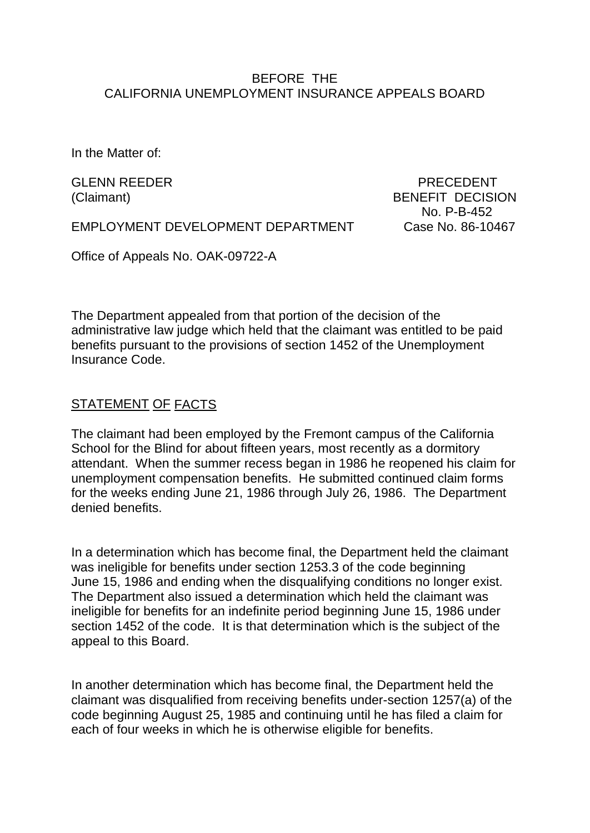#### BEFORE THE CALIFORNIA UNEMPLOYMENT INSURANCE APPEALS BOARD

In the Matter of:

GLENN REEDER PRECEDENT (Claimant) BENEFIT DECISION No. P-B-452

EMPLOYMENT DEVELOPMENT DEPARTMENT Case No. 86-10467

Office of Appeals No. OAK-09722-A

The Department appealed from that portion of the decision of the administrative law judge which held that the claimant was entitled to be paid benefits pursuant to the provisions of section 1452 of the Unemployment Insurance Code.

# STATEMENT OF FACTS

The claimant had been employed by the Fremont campus of the California School for the Blind for about fifteen years, most recently as a dormitory attendant. When the summer recess began in 1986 he reopened his claim for unemployment compensation benefits. He submitted continued claim forms for the weeks ending June 21, 1986 through July 26, 1986. The Department denied benefits.

In a determination which has become final, the Department held the claimant was ineligible for benefits under section 1253.3 of the code beginning June 15, 1986 and ending when the disqualifying conditions no longer exist. The Department also issued a determination which held the claimant was ineligible for benefits for an indefinite period beginning June 15, 1986 under section 1452 of the code. It is that determination which is the subject of the appeal to this Board.

In another determination which has become final, the Department held the claimant was disqualified from receiving benefits under-section 1257(a) of the code beginning August 25, 1985 and continuing until he has filed a claim for each of four weeks in which he is otherwise eligible for benefits.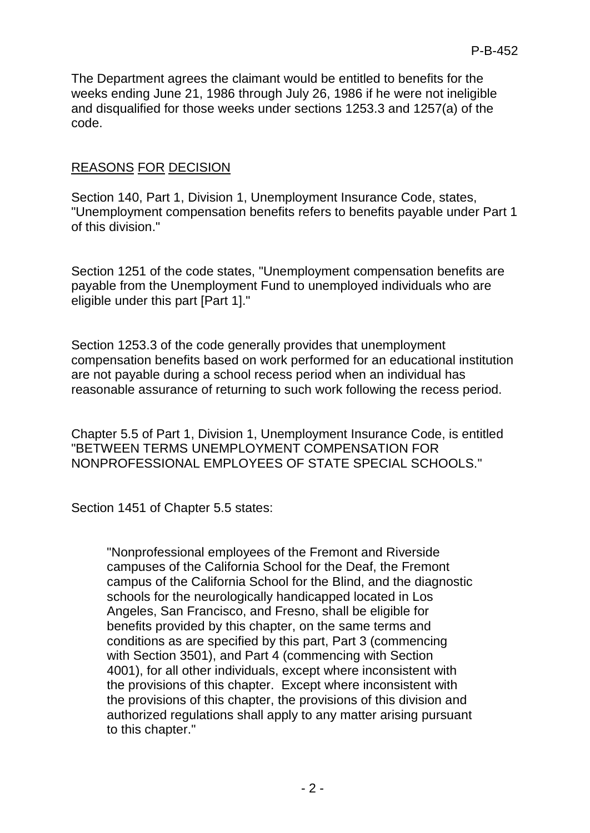The Department agrees the claimant would be entitled to benefits for the weeks ending June 21, 1986 through July 26, 1986 if he were not ineligible and disqualified for those weeks under sections 1253.3 and 1257(a) of the code.

# REASONS FOR DECISION

Section 140, Part 1, Division 1, Unemployment Insurance Code, states, "Unemployment compensation benefits refers to benefits payable under Part 1 of this division."

Section 1251 of the code states, "Unemployment compensation benefits are payable from the Unemployment Fund to unemployed individuals who are eligible under this part [Part 1]."

Section 1253.3 of the code generally provides that unemployment compensation benefits based on work performed for an educational institution are not payable during a school recess period when an individual has reasonable assurance of returning to such work following the recess period.

Chapter 5.5 of Part 1, Division 1, Unemployment Insurance Code, is entitled "BETWEEN TERMS UNEMPLOYMENT COMPENSATION FOR NONPROFESSIONAL EMPLOYEES OF STATE SPECIAL SCHOOLS."

Section 1451 of Chapter 5.5 states:

"Nonprofessional employees of the Fremont and Riverside campuses of the California School for the Deaf, the Fremont campus of the California School for the Blind, and the diagnostic schools for the neurologically handicapped located in Los Angeles, San Francisco, and Fresno, shall be eligible for benefits provided by this chapter, on the same terms and conditions as are specified by this part, Part 3 (commencing with Section 3501), and Part 4 (commencing with Section 4001), for all other individuals, except where inconsistent with the provisions of this chapter. Except where inconsistent with the provisions of this chapter, the provisions of this division and authorized regulations shall apply to any matter arising pursuant to this chapter."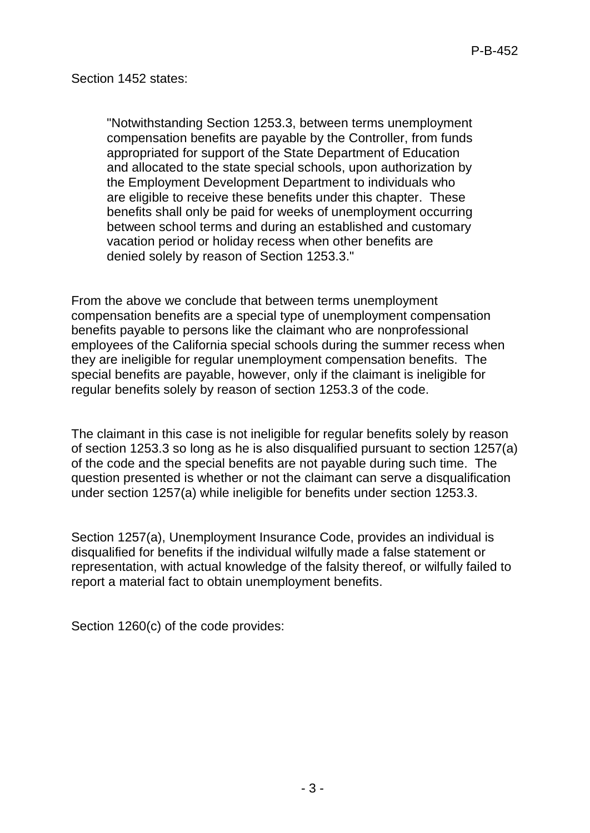"Notwithstanding Section 1253.3, between terms unemployment compensation benefits are payable by the Controller, from funds appropriated for support of the State Department of Education and allocated to the state special schools, upon authorization by the Employment Development Department to individuals who are eligible to receive these benefits under this chapter. These benefits shall only be paid for weeks of unemployment occurring between school terms and during an established and customary vacation period or holiday recess when other benefits are denied solely by reason of Section 1253.3."

From the above we conclude that between terms unemployment compensation benefits are a special type of unemployment compensation benefits payable to persons like the claimant who are nonprofessional employees of the California special schools during the summer recess when they are ineligible for regular unemployment compensation benefits. The special benefits are payable, however, only if the claimant is ineligible for regular benefits solely by reason of section 1253.3 of the code.

The claimant in this case is not ineligible for regular benefits solely by reason of section 1253.3 so long as he is also disqualified pursuant to section 1257(a) of the code and the special benefits are not payable during such time. The question presented is whether or not the claimant can serve a disqualification under section 1257(a) while ineligible for benefits under section 1253.3.

Section 1257(a), Unemployment Insurance Code, provides an individual is disqualified for benefits if the individual wilfully made a false statement or representation, with actual knowledge of the falsity thereof, or wilfully failed to report a material fact to obtain unemployment benefits.

Section 1260(c) of the code provides: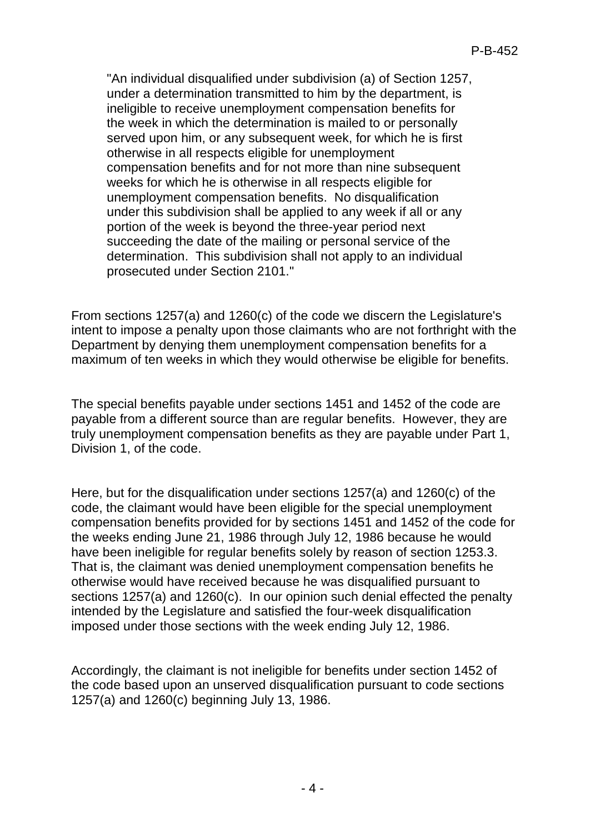"An individual disqualified under subdivision (a) of Section 1257, under a determination transmitted to him by the department, is ineligible to receive unemployment compensation benefits for the week in which the determination is mailed to or personally served upon him, or any subsequent week, for which he is first otherwise in all respects eligible for unemployment compensation benefits and for not more than nine subsequent weeks for which he is otherwise in all respects eligible for unemployment compensation benefits. No disqualification under this subdivision shall be applied to any week if all or any portion of the week is beyond the three-year period next succeeding the date of the mailing or personal service of the determination. This subdivision shall not apply to an individual prosecuted under Section 2101."

From sections 1257(a) and 1260(c) of the code we discern the Legislature's intent to impose a penalty upon those claimants who are not forthright with the Department by denying them unemployment compensation benefits for a maximum of ten weeks in which they would otherwise be eligible for benefits.

The special benefits payable under sections 1451 and 1452 of the code are payable from a different source than are regular benefits. However, they are truly unemployment compensation benefits as they are payable under Part 1, Division 1, of the code.

Here, but for the disqualification under sections 1257(a) and 1260(c) of the code, the claimant would have been eligible for the special unemployment compensation benefits provided for by sections 1451 and 1452 of the code for the weeks ending June 21, 1986 through July 12, 1986 because he would have been ineligible for regular benefits solely by reason of section 1253.3. That is, the claimant was denied unemployment compensation benefits he otherwise would have received because he was disqualified pursuant to sections 1257(a) and 1260(c). In our opinion such denial effected the penalty intended by the Legislature and satisfied the four-week disqualification imposed under those sections with the week ending July 12, 1986.

Accordingly, the claimant is not ineligible for benefits under section 1452 of the code based upon an unserved disqualification pursuant to code sections 1257(a) and 1260(c) beginning July 13, 1986.